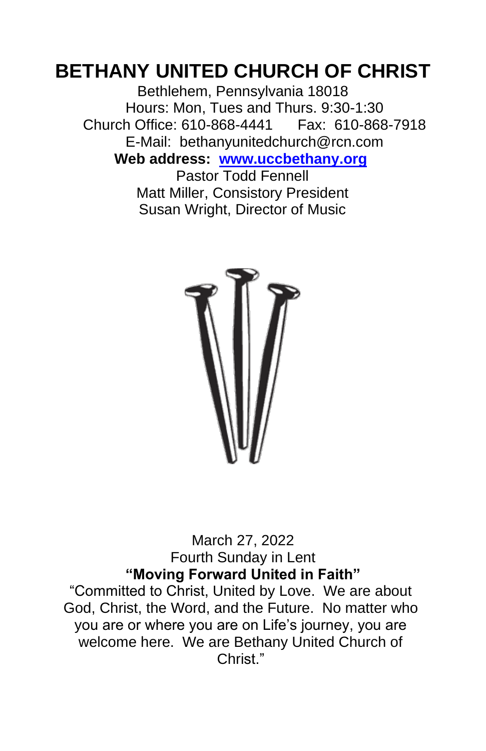# **BETHANY UNITED CHURCH OF CHRIST**

Bethlehem, Pennsylvania 18018 Hours: Mon, Tues and Thurs. 9:30-1:30 Church Office: 610-868-4441 Fax: 610-868-7918 E-Mail: bethanyunitedchurch@rcn.com **Web address: www.uccbethany.org**

Pastor Todd Fennell Matt Miller, Consistory President Susan Wright, Director of Music



March 27, 2022 Fourth Sunday in Lent **"Moving Forward United in Faith"**

"Committed to Christ, United by Love. We are about God, Christ, the Word, and the Future. No matter who you are or where you are on Life's journey, you are welcome here. We are Bethany United Church of Christ<sup>"</sup>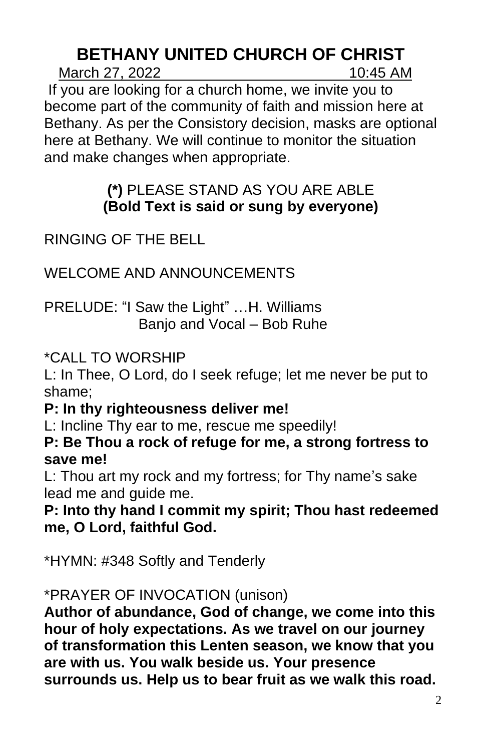# **BETHANY UNITED CHURCH OF CHRIST**

March 27, 2022 10:45 AM

If you are looking for a church home, we invite you to become part of the community of faith and mission here at Bethany. As per the Consistory decision, masks are optional here at Bethany. We will continue to monitor the situation and make changes when appropriate.

## **(\*)** PLEASE STAND AS YOU ARE ABLE **(Bold Text is said or sung by everyone)**

# RINGING OF THE BELL

WELCOME AND ANNOUNCEMENTS

PRELUDE: "I Saw the Light" …H. Williams Banjo and Vocal – Bob Ruhe

\*CALL TO WORSHIP

L: In Thee, O Lord, do I seek refuge; let me never be put to shame;

## **P: In thy righteousness deliver me!**

L: Incline Thy ear to me, rescue me speedily!

**P: Be Thou a rock of refuge for me, a strong fortress to save me!**

L: Thou art my rock and my fortress; for Thy name's sake lead me and guide me.

**P: Into thy hand I commit my spirit; Thou hast redeemed me, O Lord, faithful God.**

\*HYMN: #348 Softly and Tenderly

## \*PRAYER OF INVOCATION (unison)

**Author of abundance, God of change, we come into this hour of holy expectations. As we travel on our journey of transformation this Lenten season, we know that you are with us. You walk beside us. Your presence surrounds us. Help us to bear fruit as we walk this road.**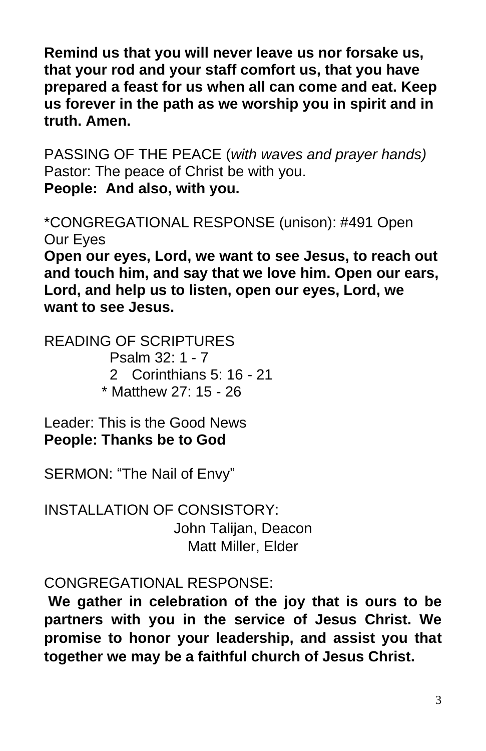**Remind us that you will never leave us nor forsake us, that your rod and your staff comfort us, that you have prepared a feast for us when all can come and eat. Keep us forever in the path as we worship you in spirit and in truth. Amen.**

PASSING OF THE PEACE (*with waves and prayer hands)* Pastor: The peace of Christ be with you. **People: And also, with you.**

\*CONGREGATIONAL RESPONSE (unison): #491 Open Our Eyes

**Open our eyes, Lord, we want to see Jesus, to reach out and touch him, and say that we love him. Open our ears, Lord, and help us to listen, open our eyes, Lord, we want to see Jesus.**

READING OF SCRIPTURES Psalm 32: 1 - 7 2 Corinthians 5: 16 - 21 \* Matthew 27: 15 - 26

Leader: This is the Good News **People: Thanks be to God**

SERMON: "The Nail of Envy"

INSTALLATION OF CONSISTORY: John Talijan, Deacon Matt Miller, Elder

CONGREGATIONAL RESPONSE:

**We gather in celebration of the joy that is ours to be partners with you in the service of Jesus Christ. We promise to honor your leadership, and assist you that together we may be a faithful church of Jesus Christ.**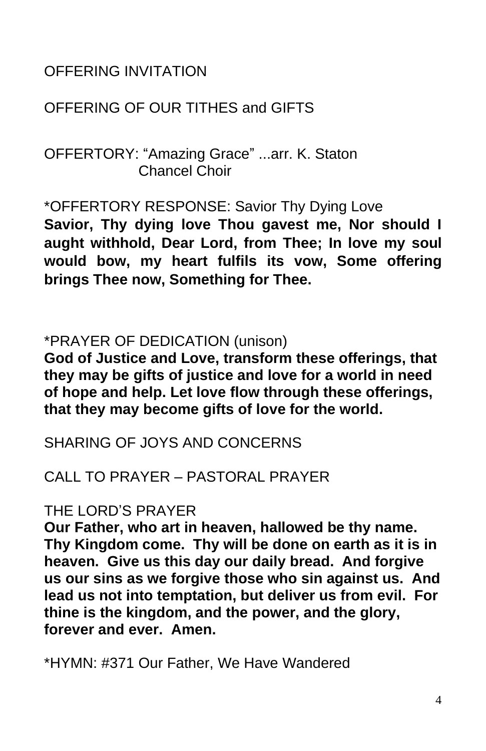## OFFERING INVITATION

## OFFERING OF OUR TITHES and GIFTS

OFFERTORY: "Amazing Grace" ...arr. K. Staton Chancel Choir

\*OFFERTORY RESPONSE: Savior Thy Dying Love **Savior, Thy dying love Thou gavest me, Nor should I** 

**aught withhold, Dear Lord, from Thee; In love my soul would bow, my heart fulfils its vow, Some offering brings Thee now, Something for Thee.**

### \*PRAYER OF DEDICATION (unison)

**God of Justice and Love, transform these offerings, that they may be gifts of justice and love for a world in need of hope and help. Let love flow through these offerings, that they may become gifts of love for the world.**

SHARING OF JOYS AND CONCERNS

## CALL TO PRAYER – PASTORAL PRAYER

### THE LORD'S PRAYER

**Our Father, who art in heaven, hallowed be thy name. Thy Kingdom come. Thy will be done on earth as it is in heaven. Give us this day our daily bread. And forgive us our sins as we forgive those who sin against us. And lead us not into temptation, but deliver us from evil. For thine is the kingdom, and the power, and the glory, forever and ever. Amen.**

\*HYMN: #371 Our Father, We Have Wandered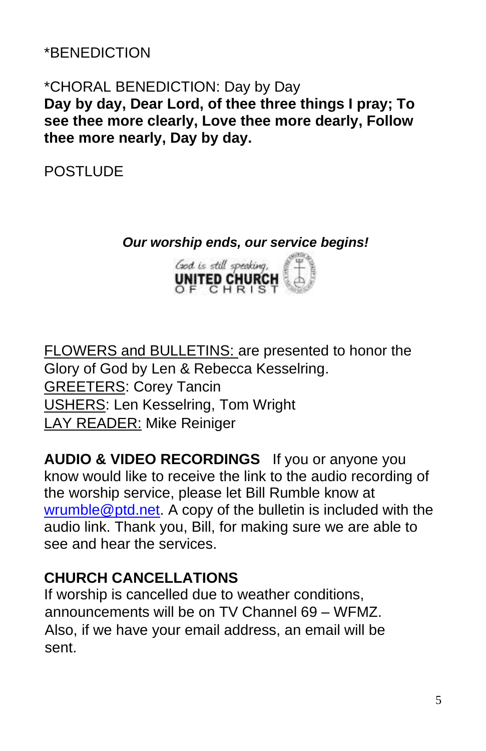## \*BENEDICTION

### \*CHORAL BENEDICTION: Day by Day **Day by day, Dear Lord, of thee three things I pray; To see thee more clearly, Love thee more dearly, Follow thee more nearly, Day by day.**

POSTLUDE

#### *Our worship ends, our service begins!*



FLOWERS and BULLETINS: are presented to honor the Glory of God by Len & Rebecca Kesselring. GREETERS: Corey Tancin USHERS: Len Kesselring, Tom Wright LAY READER: Mike Reiniger

**AUDIO & VIDEO RECORDINGS** If you or anyone you know would like to receive the link to the audio recording of the worship service, please let Bill Rumble know at wrumble@ptd.net. A copy of the bulletin is included with the audio link. Thank you, Bill, for making sure we are able to see and hear the services.

## **CHURCH CANCELLATIONS**

If worship is cancelled due to weather conditions, announcements will be on TV Channel 69 – WFMZ. Also, if we have your email address, an email will be sent.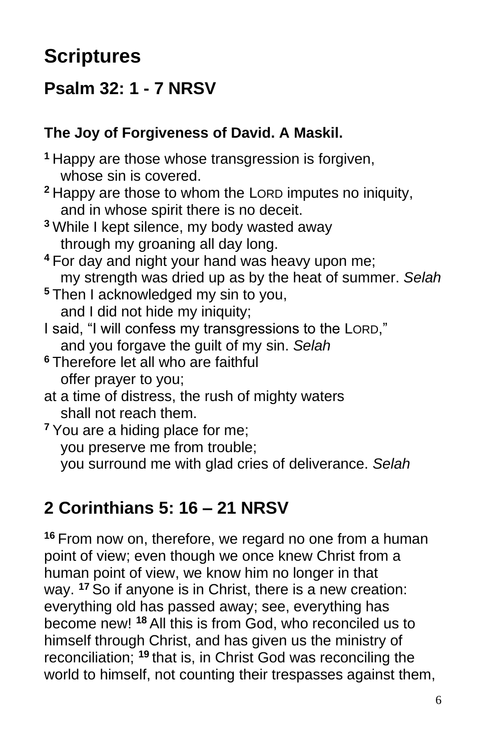# **Scriptures**

# **Psalm 32: 1 - 7 NRSV**

## **The Joy of Forgiveness of David. A Maskil.**

**<sup>1</sup>** Happy are those whose transgression is forgiven, whose sin is covered. **<sup>2</sup>** Happy are those to whom the LORD imputes no iniquity, and in whose spirit there is no deceit. **<sup>3</sup>** While I kept silence, my body wasted away through my groaning all day long.

- **<sup>4</sup>** For day and night your hand was heavy upon me; my strength was dried up as by the heat of summer. *Selah*
- **<sup>5</sup>** Then I acknowledged my sin to you, and I did not hide my iniquity;
- I said, "I will confess my transgressions to the LORD," and you forgave the guilt of my sin. *Selah*
- **<sup>6</sup>** Therefore let all who are faithful offer prayer to you;
- at a time of distress, the rush of mighty waters shall not reach them.

**<sup>7</sup>** You are a hiding place for me; you preserve me from trouble; you surround me with glad cries of deliverance. *Selah*

# **2 Corinthians 5: 16 – 21 NRSV**

**<sup>16</sup>** From now on, therefore, we regard no one from a human point of view; even though we once knew Christ from a human point of view, we know him no longer in that way. **<sup>17</sup>** So if anyone is in Christ, there is a new creation: everything old has passed away; see, everything has become new! **<sup>18</sup>** All this is from God, who reconciled us to himself through Christ, and has given us the ministry of reconciliation; **<sup>19</sup>** that is, in Christ God was reconciling the world to himself, not counting their trespasses against them,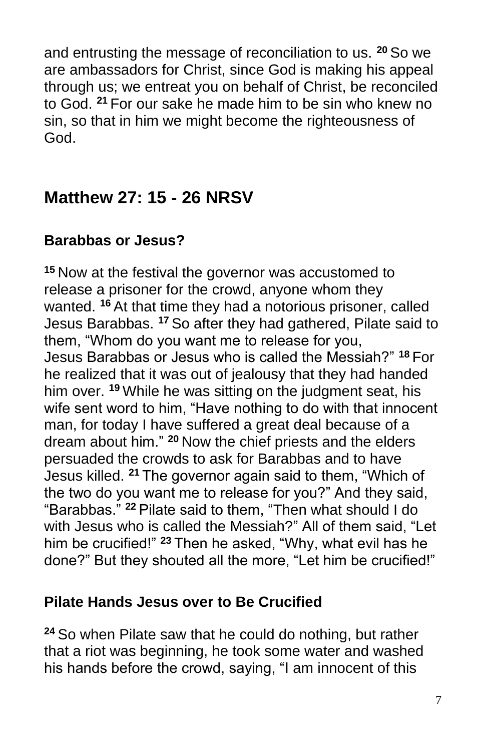and entrusting the message of reconciliation to us. **<sup>20</sup>** So we are ambassadors for Christ, since God is making his appeal through us; we entreat you on behalf of Christ, be reconciled to God. **<sup>21</sup>** For our sake he made him to be sin who knew no sin, so that in him we might become the righteousness of God.

# **Matthew 27: 15 - 26 NRSV**

## **Barabbas or Jesus?**

**<sup>15</sup>** Now at the festival the governor was accustomed to release a prisoner for the crowd, anyone whom they wanted. **<sup>16</sup>** At that time they had a notorious prisoner, called Jesus Barabbas. **<sup>17</sup>** So after they had gathered, Pilate said to them, "Whom do you want me to release for you, Jesus Barabbas or Jesus who is called the Messiah?" **<sup>18</sup>** For he realized that it was out of jealousy that they had handed him over. **<sup>19</sup>** While he was sitting on the judgment seat, his wife sent word to him, "Have nothing to do with that innocent man, for today I have suffered a great deal because of a dream about him." **<sup>20</sup>** Now the chief priests and the elders persuaded the crowds to ask for Barabbas and to have Jesus killed. **<sup>21</sup>** The governor again said to them, "Which of the two do you want me to release for you?" And they said, "Barabbas." **<sup>22</sup>** Pilate said to them, "Then what should I do with Jesus who is called the Messiah?" All of them said, "Let him be crucified!" **<sup>23</sup>** Then he asked, "Why, what evil has he done?" But they shouted all the more, "Let him be crucified!"

### **Pilate Hands Jesus over to Be Crucified**

**<sup>24</sup>** So when Pilate saw that he could do nothing, but rather that a riot was beginning, he took some water and washed his hands before the crowd, saying, "I am innocent of this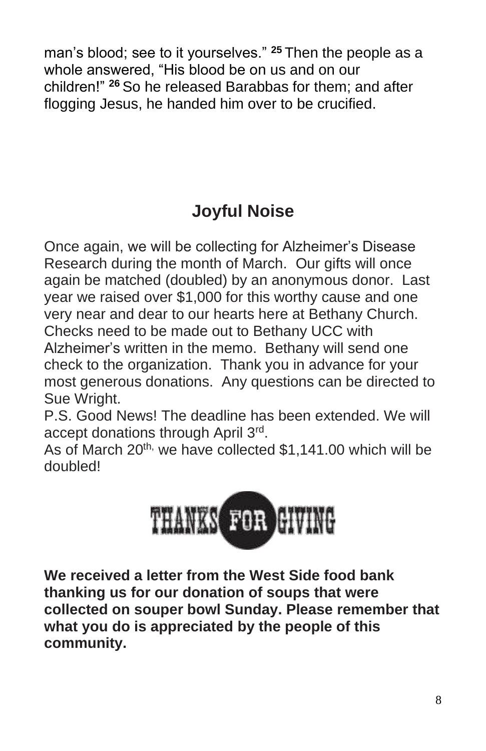man's blood; see to it yourselves." **<sup>25</sup>** Then the people as a whole answered, "His blood be on us and on our children!" **<sup>26</sup>** So he released Barabbas for them; and after flogging Jesus, he handed him over to be crucified.

# **Joyful Noise**

Once again, we will be collecting for Alzheimer's Disease Research during the month of March. Our gifts will once again be matched (doubled) by an anonymous donor. Last year we raised over \$1,000 for this worthy cause and one very near and dear to our hearts here at Bethany Church. Checks need to be made out to Bethany UCC with Alzheimer's written in the memo. Bethany will send one check to the organization. Thank you in advance for your most generous donations. Any questions can be directed to Sue Wright.

P.S. Good News! The deadline has been extended. We will accept donations through April 3rd.

As of March 20<sup>th,</sup> we have collected \$1,141.00 which will be doubled!



**We received a letter from the West Side food bank thanking us for our donation of soups that were collected on souper bowl Sunday. Please remember that what you do is appreciated by the people of this community.**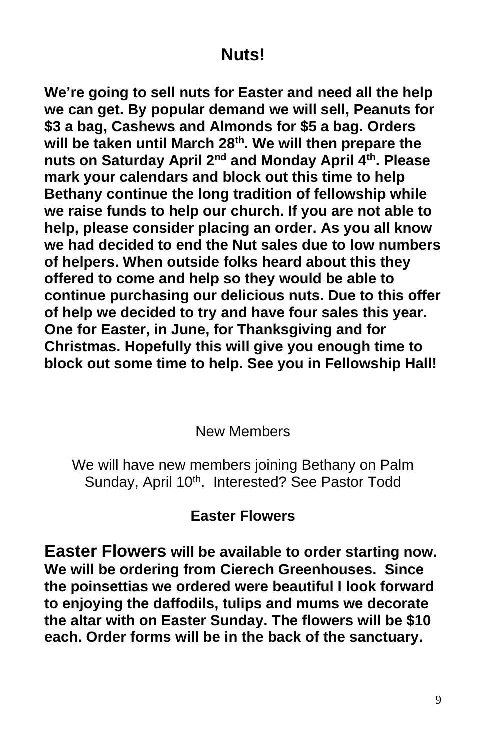# **Nuts!**

**We're going to sell nuts for Easter and need all the help we can get. By popular demand we will sell, Peanuts for \$3 a bag, Cashews and Almonds for \$5 a bag. Orders will be taken until March 28th. We will then prepare the nuts on Saturday April 2nd and Monday April 4 th . Please mark your calendars and block out this time to help Bethany continue the long tradition of fellowship while we raise funds to help our church. If you are not able to help, please consider placing an order. As you all know we had decided to end the Nut sales due to low numbers of helpers. When outside folks heard about this they offered to come and help so they would be able to continue purchasing our delicious nuts. Due to this offer of help we decided to try and have four sales this year. One for Easter, in June, for Thanksgiving and for Christmas. Hopefully this will give you enough time to block out some time to help. See you in Fellowship Hall!**

#### New Members

We will have new members joining Bethany on Palm Sunday, April 10<sup>th</sup>. Interested? See Pastor Todd

## **Easter Flowers**

**Easter Flowers will be available to order starting now. We will be ordering from Cierech Greenhouses. Since the poinsettias we ordered were beautiful I look forward to enjoying the daffodils, tulips and mums we decorate the altar with on Easter Sunday. The flowers will be \$10 each. Order forms will be in the back of the sanctuary.**